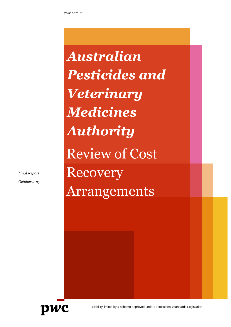*Australian Pesticides and Veterinary Medicines Authority*  Review of Cost Recovery Arrangements

*Final Report October 2017*



Liability limited by a scheme approved under Professional Standards Legislation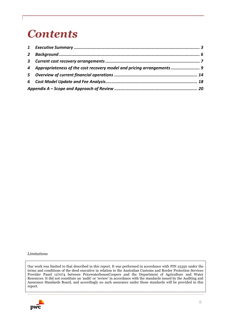# *Contents*

| 4 Appropriateness of the cost recovery model and pricing arrangements |  |
|-----------------------------------------------------------------------|--|
|                                                                       |  |
|                                                                       |  |
|                                                                       |  |

#### *Limitations*

Our work was limited to that described in this report. It was performed in accordance with PIN 23350 under the terms and conditions of the deed executive in relation to the Australian Customs and Border Protection Services Provider Panel 127074 between PricewaterhouseCoopers and the Department of Agriculture and Water Resources. It did not constitute an 'audit' or 'review' in accordance with the standards issued by the Auditing and Assurance Standards Board, and accordingly no such assurance under those standards will be provided in this report.

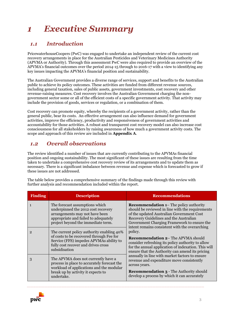## <span id="page-2-0"></span>*1 Executive Summary*

### *1.1 Introduction*

PricewaterhouseCoopers (PwC) was engaged to undertake an independent review of the current cost recovery arrangements in place for the Australian Pesticides and Veterinary Medicines Authority (APVMA or Authority). Through this assessment PwC were also required to provide an overview of the APVMA's financial outcomes over the period 2014-15 through to 2016-17 with a view to identifying any key issues impacting the APVMA's financial position and sustainability.

The Australian Government provides a diverse range of services, support and benefits to the Australian public to achieve its policy outcomes. These activities are funded from different revenue sources, including general taxation, sales of public assets, government investments, cost recovery and other revenue-raising measures. Cost recovery involves the Australian Government charging the nongovernment sector some or all of the efficient costs of a specific government activity. That activity may include the provision of goods, services or regulation, or a combination of them.

Cost recovery can promote equity, whereby the recipients of a government activity, rather than the general public, bear its costs. An effective arrangement can also influence demand for government activities, improve the efficiency, productivity and responsiveness of government activities and accountability for those activities. A robust and transparent cost recovery model can also increase cost consciousness for all stakeholders by raising awareness of how much a government activity costs. The scope and approach of this review are included in **Appendix A**.

### *1.2 Overall observations*

The review identified a number of issues that are currently contributing to the APVMAs financial position and ongoing sustainability. The most significant of these issues are resulting from the time taken to undertake a comprehensive cost recovery review of its arrangements and to update them as necessary. There is a significant imbalance between revenue and expense which is forecasted to grow if these issues are not addressed.

The table below provides a comprehensive summary of the findings made through this review with further analysis and recommendation included within the report.

| <b>Finding</b> | <b>Description</b>                                                                                                                                                                       | <b>Recommendations</b>                                                                                                                                                                                                                                                                    |
|----------------|------------------------------------------------------------------------------------------------------------------------------------------------------------------------------------------|-------------------------------------------------------------------------------------------------------------------------------------------------------------------------------------------------------------------------------------------------------------------------------------------|
|                | The forecast assumptions which<br>underpinned the 2012 cost recovery<br>arrangements may not have been<br>appropriate and failed to adequately<br>project beyond the immediate term.     | <b>Recommendation 1– The policy authority</b><br>should be reviewed in line with the requirements<br>of the updated Australian Government Cost<br>Recovery Guidelines and the Australian<br>Government Charging Framework to ensure the<br>intent remains consistent with the overarching |
| 2              | The current policy authority enabling 40%<br>of costs to be recovered through Fee for<br>Service (FFS) impedes APVMAs ability to<br>fully cost recover and drives cross<br>subsidisation | policy.<br><b>Recommendation 2– The APVMA should</b><br>consider refreshing its policy authority to allow<br>for the annual application of indexation. This will<br>ensure that the Authority can amend its pricing                                                                       |
| 3              | The APVMA does not currently have a<br>process in place to accurately forecast the<br>workload of applications and the modular<br>break up by activity it expects to<br>undertake.       | annually in line with market factors to ensure<br>revenue and expenditure move consistently<br>across years.<br><b>Recommendation 3 - The Authority should</b><br>develop a process by which it can accurately                                                                            |

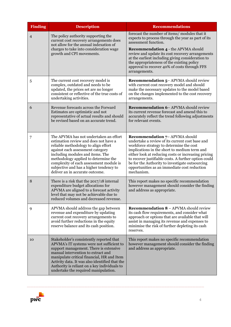| <b>Finding</b> | <b>Description</b>                                                                                                                                                                                                                                                                                                                                               | <b>Recommendations</b>                                                                                                                                                                                                                                                                                                                                                                                               |
|----------------|------------------------------------------------------------------------------------------------------------------------------------------------------------------------------------------------------------------------------------------------------------------------------------------------------------------------------------------------------------------|----------------------------------------------------------------------------------------------------------------------------------------------------------------------------------------------------------------------------------------------------------------------------------------------------------------------------------------------------------------------------------------------------------------------|
| $\overline{4}$ | The policy authority supporting the<br>current cost recovery arrangements does<br>not allow for the annual indexation of                                                                                                                                                                                                                                         | forecast the number of items/modules that it<br>expects to process through the year as part of its<br>assessment function.                                                                                                                                                                                                                                                                                           |
|                | charges to take into consideration wage<br>growth and CPI movements.                                                                                                                                                                                                                                                                                             | <b>Recommendation 4 - the APVMA should</b><br>review and update its cost recovery arrangements<br>at the earliest including giving consideration to<br>the appropriateness of the existing policy<br>approval to recover 40% of costs through FFS<br>arrangements.                                                                                                                                                   |
| 5              | The current cost recovery model is<br>complex, outdated and needs to be<br>updated, the prices set are no longer<br>consistent or reflective of the true costs of<br>undertaking activities.                                                                                                                                                                     | <b>Recommendation 5- APVMA should review</b><br>with current cost recovery model and should<br>make the necessary updates to the model based<br>on the changes implemented to the cost recovery<br>arrangements.                                                                                                                                                                                                     |
| 6              | Revenue forecasts across the Forward<br>Estimates are optimistic and not<br>representative of actual results and should<br>be revised based on an accurate trend.                                                                                                                                                                                                | <b>Recommendation 6- APVMA should review</b><br>its current revenue forecast and amend this to<br>accurately reflect the trend following adjustments<br>for relevant events.                                                                                                                                                                                                                                         |
| 7              | The APVMA has not undertaken an effort<br>estimation review and does not have a<br>reliable methodology to align effort<br>against each assessment category<br>including modules and items. The<br>methodology applied to determine the<br>complexity of each assessment module is<br>subjective and has a higher tendency to<br>deliver an in accurate outcome. | <b>Recommendation 7- APVMA should</b><br>undertake a review of its current cost base and<br>workforce strategy to determine the cost<br>implications in the short to medium term and<br>either look at reducing costs or increasing pricing<br>to recover justifiable costs. A further option could<br>be for the Authority to investigate outsourcing<br>opportunities as an immediate cost reduction<br>mechanism. |
| 8              | There is a risk that the 2017/18 internal<br>expenditure budget allocations for<br>APVMA are aligned to a forecast activity<br>level that may not be achievable due to<br>reduced volumes and decreased revenue.                                                                                                                                                 | This report makes no specific recommendation<br>however management should consider the finding<br>and address as appropriate.                                                                                                                                                                                                                                                                                        |
| 9              | APVMA should address the gap between<br>revenue and expenditure by updating<br>current cost recovery arrangements to<br>avoid further reductions in the equity<br>reserve balance and its cash position.                                                                                                                                                         | <b>Recommendation 8 - APVMA should review</b><br>its cash flow requirements, and consider what<br>approach or options that are available that will<br>assist in managing its revenue and expenses to<br>minimise the risk of further depleting its cash<br>reserves.                                                                                                                                                 |
| 10             | Stakeholder's consistently reported that<br>APVMA's IT systems were not sufficient to<br>support management. There is extensive<br>manual intervention to extract and<br>manipulate critical financial, HR and Item<br>Activity data. It was also identified that the<br>Authority is reliant on a key individuals to<br>undertake the required manipulation.    | This report makes no specific recommendation<br>however management should consider the finding<br>and address as appropriate.                                                                                                                                                                                                                                                                                        |

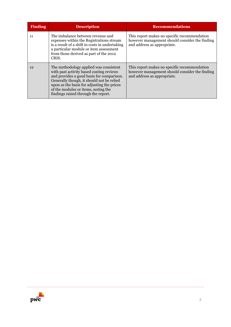| <b>Finding</b> | <b>Description</b>                                                                                                                                                                                                                                                                                       | <b>Recommendations</b>                                                                                                        |
|----------------|----------------------------------------------------------------------------------------------------------------------------------------------------------------------------------------------------------------------------------------------------------------------------------------------------------|-------------------------------------------------------------------------------------------------------------------------------|
| 11             | The imbalance between revenue and<br>expenses within the Registrations stream<br>is a result of a shift in costs in undertaking<br>a particular module or item assessment<br>from those derived as part of the 2012<br>CRIS.                                                                             | This report makes no specific recommendation<br>however management should consider the finding<br>and address as appropriate. |
| 12             | The methodology applied was consistent<br>with past activity based costing reviews<br>and provides a good basis for comparison.<br>Generally though, it should not be relied<br>upon as the basis for adjusting the prices<br>of the modules or items, noting the<br>findings raised through the report. | This report makes no specific recommendation<br>however management should consider the finding<br>and address as appropriate. |

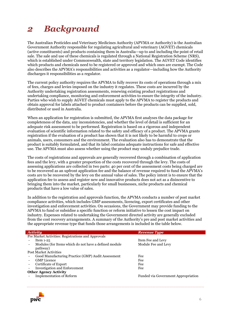## <span id="page-5-0"></span>*2 Background*

The Australian Pesticides and Veterinary Medicines Authority (APVMA or Authority) is the Australian Government Authority responsible for regulating agricultural and veterinary (AGVET) chemicals (active constituents) and products containing them in Australia—up to and including the point of retail sale. The sale and use of these chemicals is regulated through a National Registration Scheme (NRS), which is established under Commonwealth, state and territory legislation. The AGVET Code identifies which products and chemicals need to be registered or approved and which ones are exempt. The Code also describes the APVMA's responsibilities and activities as a regulator—including how the Authority discharges it responsibilities as a regulator.

The current policy authority requires the APVMA to fully recover its costs of operations through a mix of fees, charges and levies imposed on the industry it regulates. These costs are incurred by the Authority undertaking registration assessments, renewing existing product registrations and undertaking compliance, monitoring and enforcement activities to ensure the integrity of the industry. Parties who wish to supply AGVET chemicals must apply to the APVMA to register the products and obtain approval for labels attached to product containers before the products can be supplied, sold, distributed or used in Australia.

When an application for registration is submitted, the APVMA first analyses the data package for completeness of the data, any inconsistencies, and whether the level of detail is sufficient for an adequate risk assessment to be performed. Registration is based on a rigorous and independent evaluation of scientific information related to the safety and efficacy of a product. The APVMA grants registration if the evaluation of a product has shown that it is not likely to be harmful to crops or animals, users, consumers and the environment. The evaluation also has to demonstrate that the product is suitably formulated, and that its label contains adequate instructions for safe and effective use. The APVMA must also assess whether using the product may unduly prejudice trade.

The costs of registrations and approvals are generally recovered through a combination of application fees and the levy, with a greater proportion of the costs recovered through the levy. The costs of assessing applications are collected in two parts: 40 per cent of the assessment costs being charged are to be recovered as an upfront application fee and the balance of revenue required to fund the APVMA's costs are to be recovered by the levy on the annual value of sales. The policy intent is to ensure that the application fee to assess and register new and innovative products does not act as a disincentive to bringing them into the market, particularly for small businesses, niche products and chemical products that have a low value of sales.

In addition to the registration and approvals function, the APVMA conducts a number of post market compliance activities, which includes GMP assessments, licencing, export certificates and other investigation and enforcement activities. On occasions, the Government may provide funding to the APVMA to fund or subsidise a specific function or reform initiative to lessen the cost impact on industry. Expenses related to undertaking the Government directed activity are generally excluded from the cost recovery arrangements. A summary of the Authority's pre and post market activities and the appropriate revenue type that funds those arrangements is included in the table below.

| <b>Activity</b>                                       | <b>Revenue Type</b>                 |
|-------------------------------------------------------|-------------------------------------|
| Pre Market Activities: Registrations and Approvals    |                                     |
| Item $1-25$                                           | Item Fee and Levy                   |
| Modules (for Items which do not have a defined module | Module Fee and Levy                 |
| pathway)                                              |                                     |
| <b>Post Market Activities</b>                         |                                     |
| Good Manufacturing Practice (GMP) Audit Assessment    | Fee                                 |
| <b>GMP</b> Licence                                    | Fee                                 |
| Certificate of Export                                 | Fee                                 |
| <b>Investigation and Enforcement</b>                  | Fee                                 |
| <b>Other Agency Activity</b>                          |                                     |
| <b>Implementation of Reform</b>                       | Funded via Government Appropriation |
|                                                       |                                     |
|                                                       |                                     |

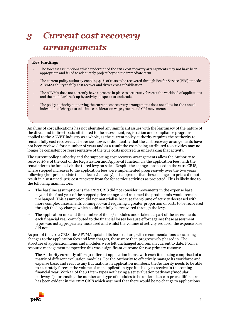## <span id="page-6-0"></span>*3 Current cost recovery arrangements*

#### **Key Findings**

- The forecast assumptions which underpinned the 2012 cost recovery arrangements may not have been appropriate and failed to adequately project beyond the immediate term
- The current policy authority enabling 40% of costs to be recovered through Fee for Service (FFS) impedes APVMAs ability to fully cost recover and drives cross subsidisation
- The APVMA does not currently have a process in place to accurately forecast the workload of applications and the modular break up by activity it expects to undertake.
- The policy authority supporting the current cost recovery arrangements does not allow for the annual indexation of charges to take into consideration wage growth and CPI movements.

Analysis of cost allocations has not identified any significant issues with the legitimacy of the nature of the direct and indirect costs attributed to the assessment, registration and compliance programs applied to the AGVET industry as a whole, as the current policy authority requires the Authority to remain fully cost recovered. The review however did identify that the cost recovery arrangements have not been reviewed for a number of years and as a result the costs being attributed to activities may no longer be consistent or representative of the true costs incurred in undertaking that activity.

The current policy authority and the supporting cost recovery arrangements allow the Authority to recover 40% of the cost of the Registration and Approval function via the application fees, with the remainder to be funded via the tiered levy on sales. Despite the changes proposed in the 2012 CRIS, where stepped increases to the application fees were implemented progressively over the two years following (last price update took effect 1 Jan 2015), it is apparent that these changes to prices did not result in a sustained 40% cost recovery from fee for service activities as projected. This is likely due to the following main factors:

- The baseline assumptions is the 2012 CRIS did not consider movements in the expense base beyond the final year of the stepped price changes and assumed the product mix would remain unchanged. This assumption did not materialise because the volume of activity decreased with more complex assessments coming forward requiring a greater proportion of costs to be recovered through the levy charge, which could not fully be recovered through the levy.
- The application mix and the number of items/ modules undertaken as part of the assessments each financial year contributed to the financial losses because effort against these assessment types was not appropriately measured and whilst the volume of activity reduced, the expense base did not.

As part of the 2012 CRIS, the APVMA updated its fee structure, with recommendations concerning changes to the application fees and levy charges, these were then progressively phased in. The structure of application items and modules were left unchanged and remain current to date. From a resource management perspective this was a significant outcome for two primary reasons:

The Authority currently offers 31 different application items, with each item being comprised of a matrix of different evaluation modules. For the Authority to effectively manage its workforce and expense base, and react to any fluctuations in application numbers, the Authority needs to be able to accurately forecast the volume of each application type it is likely to receive in the coming financial year. With 12 of the 31 item types not having a set evaluation pathway ("modular pathways"), forecasting the number and type of modules to be undertaken can prove difficult as has been evident in the 2012 CRIS which assumed that there would be no change to applications

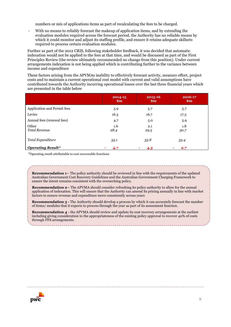numbers or mix of applications items as part of recalculating the fees to be charged.

With no means to reliably forecast the makeup of application items, and by extending the evaluation modules required across the forecast period, the Authority has no reliable means by which it could monitor and adjust its staffing profile, and ensure it retains adequate skillsets required to process certain evaluation modules.

Further as part of the 2012 CRIS, following stakeholder feedback, it was decided that automatic indexation would not be applied to the fees at that time, and would be discussed as part of the First Principles Review (the review ultimately recommended no change from this position). Under current arrangements indexation is not being applied which is contributing further to the variance between income and expenditure

These factors arising from the APVMAs inability to effectively forecast activity, measure effort, project costs and to maintain a current operational cost model with current and valid assumptions have contributed towards the Authority incurring operational losses over the last three financial years which are presented in the table below

|                               | 2014-15<br>$\mathbf{Sm}$ | 2015-16<br>$\mathbf{Sm}$ | 2016-17<br>$\mathbf{Sm}$ |
|-------------------------------|--------------------------|--------------------------|--------------------------|
| Application and Permit fees   | 5.9                      | 5.7                      | 5.7                      |
| Levies                        | 16.3                     | 16.7                     | 17.3                     |
| Annual fees (renewal fees)    | 4.7                      | 5.0                      | 5.9                      |
| Other<br><b>Total Revenue</b> | 1.6<br>28.4              | 2.1<br>29.5              | 1.8<br>30.7              |
| Total Expenditure             | 33.1                     | 33.8                     | 33.4                     |
| <b>Operating Result*</b>      | 4.7<br>٠                 | 4.3<br>٠                 | 2.7<br>٠                 |

\*Operating result attributable to cost recoverable functions

**Recommendation 1–** The policy authority should be reviewed in line with the requirements of the updated Australian Government Cost Recovery Guidelines and the Australian Government Charging Framework to ensure the intent remains consistent with the overarching policy.

**Recommendation 2–** The APVMA should consider refreshing its policy authority to allow for the annual application of indexation. This will ensure that the Authority can amend its pricing annually in line with market factors to ensure revenue and expenditure move consistently across years

**Recommendation 3 -** The Authority should develop a process by which it can accurately forecast the number of items/ modules that it expects to process through the year as part of its assessment function.

**Recommendation 4 -** the APVMA should review and update its cost recovery arrangements at the earliest including giving consideration to the appropriateness of the existing policy approval to recover 40% of costs through FFS arrangements.

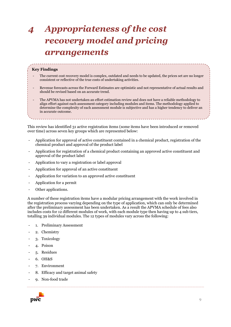## <span id="page-8-0"></span>*4 Appropriateness of the cost recovery model and pricing arrangements*

#### **Key Findings**

- The current cost recovery model is complex, outdated and needs to be updated, the prices set are no longer consistent or reflective of the true costs of undertaking activities.
- Revenue forecasts across the Forward Estimates are optimistic and not representative of actual results and should be revised based on an accurate trend.
- The APVMA has not undertaken an effort estimation review and does not have a reliable methodology to align effort against each assessment category including modules and items. The methodology applied to determine the complexity of each assessment module is subjective and has a higher tendency to deliver an in accurate outcome.

This review has identified 31 active registration items (some items have been introduced or removed over time) across seven key groups which are represented below:

- Application for approval of active constituent contained in a chemical product, registration of the chemical product and approval of the product label
- Application for registration of a chemical product containing an approved active constituent and approval of the product label
- Application to vary a registration or label approval
- Application for approval of an active constituent
- Application for variation to an approved active constituent
- Application for a permit
- Other applications.

A number of these registration items have a modular pricing arrangement with the work involved in the registration process varying depending on the type of application, which can only be determined after the preliminary assessment has been undertaken. As a result the APVMA schedule of fees also includes costs for 12 different modules of work, with each module type then having up to 4 sub tiers, totalling 39 individual modules. The 12 types of modules vary across the following:

- 1. Preliminary Assessment
- 2. Chemistry
- 3. Toxicology
- 4. Poison
- 5. Residues
- 6. OH&S
- 7. Environment
- 8. Efficacy and target animal safety
- 9. Non-food trade

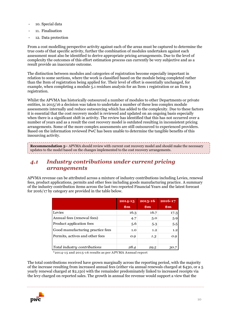- 10. Special data
- 11. Finalisation
- 12. Data protection

From a cost modelling perspective activity against each of the areas must be captured to determine the true costs of that specific activity, further the combination of modules undertaken against each assessment must also be identified to derive appropriate pricing arrangements. Due to the level of complexity the outcomes of this effort estimation process can currently be very subjective and as a result provide an inaccurate outcome.

The distinction between modules and categories of registration become especially important in relation to some sections, where the work is classified based on the module being completed rather than the Item of registration being applied for. Their level of effort is essentially unchanged, for example, when completing a module 5.1 residues analysis for an Item 1 registration or an Item 3 registration.

Whilst the APVMA has historically outsourced a number of modules to other Departments or private entities, in 2015/16 a decision was taken to undertake a number of these less complex module assessments internally and reduce outsourcing which has added to the complexity. Due to these factors it is essential that the cost recovery model is reviewed and updated on an ongoing basis especially when there is a significant shift in activity. The review has identified that this has not occurred over a number of years and as a result the cost recovery model is outdated resulting in inconsistent pricing arrangements. Some of the more complex assessments are still outsourced to experienced providers. Based on the information reviewed PwC has been unable to determine the tangible benefits of this insourcing activity.

**Recommendation 5–** APVMA should review with current cost recovery model and should make the necessary updates to the model based on the changes implemented to the cost recovery arrangements.

### *4.1 Industry contributions under current pricing arrangements*

APVMA revenue can be attributed across a mixture of industry contributions including Levies, renewal fees, product applications, permits and other fees including goods manufacturing practice. A summary of the industry contribution items across the last two reported Financial Years and the latest forecast for 2016/17 by category are provided in the table below.

|                                  | 2014-15        | $2015 - 16$    | 2016-17 |
|----------------------------------|----------------|----------------|---------|
|                                  | $\mathbf{\$m}$ | $\mathbf{\$m}$ | \$m\$   |
| Levies                           | 16.3           | 16.7           | 17.3    |
| Annual fees (renewal fees)       | 4.7            | 5.0            | 5.9     |
| Product application fees         | 5.6            | 5.3            | 5.5     |
| Good manufacturing practice fees | 1.0            | 1.2            | 1.2     |
| Permits, actives and other fees  | 0.9            | 1.3            | 0.9     |
|                                  |                |                |         |
| Total industry contributions     | 28.4           | 29.5           | 30.7    |

\*2014-15 and 2015-16 results as per APVMA Annual report

The total contributions received have grown marginally across the reporting period, with the majority of the increase resulting from increased annual fees (either via annual renewals charged at \$430, or a 5 yearly renewal charged at \$2,150) with the remainder predominately linked to increased receipts via the levy charged on reported sales. The growth in annual fee revenue would support a view that the

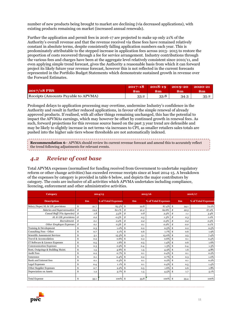number of new products being brought to market are declining (via decreased applications), with existing products remaining on market (increased annual renewals).

Further the application and permit fees in 2016-17 are projected to make up only 21% of the Authority's overall revenue and that the revenue received via these fees have remained relatively constant in absolute terms, despite consistently falling application numbers each year. This is predominately attributable to the stepped increase in application fees across 2013- 2015 to restore the proportion of costs recovered through a fee for service arrangement. Industry contributions through the various fees and charges have been at the aggregate level relatively consistent since 2010/11, and even applying simple trend forecast, gives the Authority a reasonable basis from which it can forward project its likely future year revenue forecast, however this is not reflected in the current forecasts represented in the Portfolio Budget Statements which demonstrate sustained growth in revenue over the Forward Estimates.

| $2017/18$ PBS                       | $\mathbf{Sm}$ | $2017-18$ 2018-19 2019-20<br>$_{\rm sm}$ | $_{\rm sm}$ | $\sqrt{2020-21}$<br>$\mathbf{Sm}$ |
|-------------------------------------|---------------|------------------------------------------|-------------|-----------------------------------|
| Receipts (Amounts Payable to APVMA) | 33.2          | 33.8                                     | 34.3        | 35.2                              |

Prolonged delays to application processing may overtime, undermine Industry's confidence in the Authority and result in further reduced applications, in favour of the simple renewal of already approved products. If realised, with all other things remaining unchanged, this has the potential to impact the APVMAs earnings, which may however be offset by continued growth in renewal fees. As such, forward projections for this revenue source based on the past 3 year trend are defensible and may be likely to slightly increase in net terms via increases to CPI, as smaller retailers sales totals are pushed into the higher sale tiers whose thresholds are not automatically indexed.

**Recommendation 6– APVMA** should review its current revenue forecast and amend this to accurately reflect the trend following adjustments for relevant events.

### *4.2 Review of cost base*

Total APVMA expenses (normalised for funding received from Government to undertake regulatory reform or other change activities) has exceeded revenue receipts since at least 2014-15. A breakdown of the expenses by category is provided in table 6 below, and depicts the major contributors by category. The costs are inclusive of all activities which APVMA undertakes including compliance, licencing, enforcement and other administrative activities.

| licencing, enforcement and other administrative activities. |                   |      |                     |                    |       |                     |    |         |                     |  |
|-------------------------------------------------------------|-------------------|------|---------------------|--------------------|-------|---------------------|----|---------|---------------------|--|
| Category                                                    |                   |      | 2014/15             | 2016/17<br>2015/16 |       |                     |    |         |                     |  |
| <b>Description</b>                                          |                   | \$m  | % of Total Expenses |                    | \$m\$ | % of Total Expenses |    | \$m\$   | % of Total Expenses |  |
| Salary/Super/AL & LSL provisions                            | \$                | 21.7 | 65.5%               | \$                 | 22.8  | 67.4%               | \$ | 24.1    | 72.2%               |  |
| Salaries and Superannuation                                 | $\mathcal{S}_{0}$ | 19.9 | 60.1%               | $\mathcal S$       | 21.2  | 62.6%               | \$ | 22.5    | 67.2%               |  |
| Casual Staff (Via Agencies)                                 | \$                | 1.8  | 5.5%                | \$                 | 0.8   | $2.5\%$             | \$ | $1.1\,$ | 3.4%                |  |
| AL & LSL provisions   -\$                                   |                   | O.2  | $-0.5%$             | \$                 | 0.5   | 1.5%                |    | 0.3     | 1.0%                |  |
| Recruitment                                                 | $\mathcal S$      | O.1  | $0.2\%$             | \$                 | O.2   | $0.5\%$             | \$ | 0.2     | 0.5%                |  |
| Other Employee Expenses                                     | \$                | 0.1  | $0.3\%$             | \$                 | O.1   | $0.2\%$             | \$ | O.O     | 0.1%                |  |
| Training & Development                                      | \$                | 0.3  | 1.0%                | \$                 | 0.2   | 0.5%                | \$ | 0.2     | 0.5%                |  |
| Consulting Fees - Other                                     | \$                | 0.7  | 2.1%                | \$                 | 0.6   | 1.7%                | \$ | 0.6     | 1.9%                |  |
| Scientific Assessment Services                              | \$                | 5.1  | 15.3%               | \$                 | 5.1   | 15.0%               |    | 2.5     | 7.4%                |  |
| Travel & Accomodation                                       | \$                | 0.2  | 0.6%                | \$                 | 0.2   | 0.6%                | \$ | 0.1     | 0.4%                |  |
| IT Software & Licence Expenses                              | \$                | 0.5  | 1.6%                | \$                 | 0.5   | 1.4%                | \$ | 0.6     | 1.6%                |  |
| <b>Communication Expenses</b>                               | \$                | 0.3  | 0.9%                | \$                 | 0.4   | 1.3%                | \$ | 0.4     | 1.3%                |  |
| Rent, Outgoings & Building Maint.                           | \$                | 1.5  | 4.6%                | \$                 | 1.5   | 4.3%                | \$ | 1.6     | 4.8%                |  |
| <b>Audit Fees</b>                                           | \$                | 0.2  | 0.7%                | \$                 | 0.1   | 0.4%                | \$ | 0.1     | 0.2%                |  |
| Insurance                                                   | \$                | 0.1  | 0.4%                | \$                 | 0.2   | 0.7%                | \$ | 0.3     | 1.0%                |  |
| <b>Bank and Interest fees</b>                               | \$                | 0.1  | 0.3%                | \$                 | 0.1   | 0.2%                | \$ | 0.1     | 0.2%                |  |
| <b>Legal Expenses</b>                                       | \$                | 0.4  | 1.1%                | \$                 | 0.1   | 0.4%                | \$ | 0.5     | 1.4%                |  |
| Other Supplier Expenses                                     | \$                | 0.7  | 2.2%                | \$                 | 0.5   | 1.6%                | \$ | 0.6     | 1.8%                |  |
| Depreciation on Assets                                      | \$                | 1.2  | 3.7%                | \$                 | 1.5   | 4.5%                | \$ | 1.7     | 5.1%                |  |
| <b>Total Expense</b>                                        | \$                | 33.1 | 100%                | \$                 | 33.8  | 100%                | \$ | 33.4    | 100%                |  |

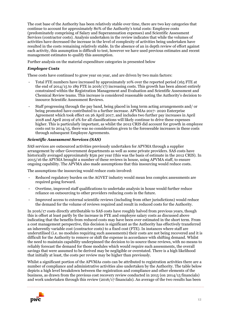The cost base of the Authority has been relatively stable over time, there are two key categories that continue to account for approximately 80% of the Authority's total costs: Employee costs (predominately comprising of Salary and Superannuation expenses) and Scientific Assessment Services (contractor costs). Analysis undertaken in the review indicates that while the volumes of activities have decreased the increase in the level of complexity of activities being undertaken have resulted in the costs remaining relatively stable. In the absence of an in depth review of effort against each activity, this assumption is difficult to test, however we have used previous estimates and recent management estimates to qualify this assumption.

Further analysis on the material expenditure categories in presented below

#### *Employee Costs*

These costs have continued to grow year on year, and are driven by two main factors:

- Total FTE numbers have increased by approximately 10% over the reported period (165 FTE at the end of 2014/15 to 189 FTE in 2016/17) increasing costs. This growth has been almost entirely constrained within the Registration Management and Evaluation and Scientific Assessment and Chemical Review teams. This increase is considered reasonable noting the Authority's decision to insource Scientific Assessment Reviews.
- Staff progressing through the pay band, being placed in long term acting arrangements and/ or being promoted have contributed to a further increase. APVMAs 2017- 2020 Enterprise Agreement which took effect on 26 April 2017, and includes two further pay increases in April 2018 and April 2019 of 2% for all classifications will likely continue to drive these expenses higher. This is particularly important, as whilst the 2012 CRIS did account for growth in employee costs out to 2014/15, there was no consideration given to the foreseeable increases in these costs through subsequent Employee Agreements.

#### *Scientific Assessment Services (SAS)*

SAS services are outsourced activities previously undertaken for APVMA through a supplier arrangement by other Government departments as well as some private providers. SAS costs have historically averaged approximately \$5m per year (this was the basis of estimate in the 2012 CRIS). In 2015/16 the APVMA brought a number of these reviews in house, using APVMA staff, to ensure ongoing capability. The APVMA also made assumptions that this insourcing would reduce costs.

The assumptions the insourcing would reduce costs involved:

- Reduced regulatory burden on the AGVET industry would mean less complex assessments are required going forward.
- Overtime, improved staff qualifications to undertake analysis in house would further reduce reliance on outsourcing to other providers reducing costs in the future.
- Improved access to external scientific reviews (including from other jurisdictions) would reduce the demand for the volume of reviews required and result in reduced costs for the Authority.

In 2016/17 costs directly attributable to SAS costs have roughly halved from previous years, though this is offset at least partly by the increase in FTE and employee salary costs as discussed above indicating that the benefits from reduced costs may have been over estimated in the short term. From a cost management perspective, this decision is significant as the Authority has effectively transferred an inherently variable cost (contractor costs) to a fixed cost (FTE). In instances where staff are underutilised (i.e. no modules requiring such assessments) their costs are not being recovered and it is difficult for the Authority to remove or shift the expense in accordance with shifting demand. Whilst the need to maintain capability underpinned the decision to in-source these reviews, with no means to reliably forecast the demand for those modules which would require such assessments, the overall savings that were assumed to be derived may be negligible or overstated. There is a high likelihood that initially at least, the costs per review may be higher than previously.

Whilst a significant portion of the APVMAs costs can be attributed to registration activities there are a number of compliance and administrative activities also undertaken by the Authority. The table below depicts a high level breakdown between the registration and compliance and other elements of the business, as drawn from the previous cost recovery review conducted in 2015 (on 2014/15 financials) and work undertaken through this review (2016/17 financials). An average of the two results has been

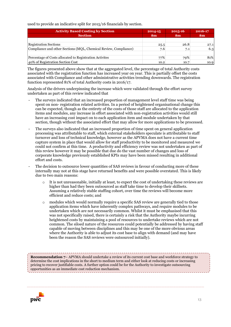used to provide an indicative split for 2015/16 financials by section.

| <b>Activity Based Costing by Section</b>                         | 2014-15       | 2015-16       | 2016-17       |
|------------------------------------------------------------------|---------------|---------------|---------------|
| <b>Section</b>                                                   | $\mathbf{Sm}$ | $\mathbf{Sm}$ | $\mathbf{Sm}$ |
|                                                                  |               |               |               |
| <b>Registration Sections</b>                                     | 25.5          | 26.8          | 27.1          |
| Compliance and other Sections (MQL, Chemical Review, Compliance) | 7.6           | 7.1           | 6.3           |
|                                                                  |               |               |               |
| Percentage of Costs allocated to Registration Activites          | 77%           | 79%           | 81%           |
| 40% of Registration Section Cost                                 | 10.2          | 10.7          | 10.9          |

The figures presented above show that at the aggregated level, the percentage of total Authority costs associated with the registration function has increased year on year. This is partially offset the costs associated with Compliance and other administrative activities trending downwards. The registration function represented 81% of total Authority costs in 2016/17.

Analysis of the drivers underpinning the increase which were validated through the effort survey undertaken as part of this review indicated that

- The surveys indicated that an increased proportion of management level staff time was being spent on non- registration related activities. In a period of heightened organisational change this can be expected, though as the entirety of the costs of those staff are allocated to the application items and modules, any increase in effort associated with non-registration activities would still have an increasing cost impact on to each application item and module undertaken by that section, though without the associated effort that may allow for more applications to be processed.
- The surveys also indicated that an increased proportion of time spent on general application processing was attributable to staff, which external stakeholders speculate is attributable to staff turnover and loss of technical knowledge, however as the APVMA does not have a current time capture system in place that would allow for staff productivity to be monitored and measured we could not confirm at this time. A productivity and efficiency review was not undertaken as part of this review however it may be possible that due do the vast number of changes and loss of corporate knowledge previously established KPIs may have been missed resulting in additional effort and costs.
- The decision to outsource lower quantities of SAS reviews in favour of conducting more of these internally may not at this stage have returned benefits and were possible overstated. This is likely due to two main reasons:
	- $\circ$  It is not unreasonable, initially at least, to expect the cost of undertaking these reviews are higher than had they been outsourced as staff take time to develop their skillsets. Assuming a relatively stable staffing cohort, over time the reviews will become more efficient and reduce costs; and
	- o modules which would normally require a specific SAS review are generally tied to those application items which have inherently complex pathways, and require modules to be undertaken which are not necessarily common. Whilst it must be emphasised that this was not specifically raised, there is certainly a risk that the Authority maybe incurring heightened costs by maintaining a pool of resources to undertake reviews which are not common. The siloed nature of the resources could potentially be addressed by having staff capable of moving between disciplines and this may be one of the more obvious areas where the Authority is able to adjust its cost base to align with demand (and may have been the reason the SAS reviews were outsourced initially).

**Recommendation 7**– APVMA should undertake a review of its current cost base and workforce strategy to determine the cost implications in the short to medium term and either look at reducing costs or increasing pricing to recover justifiable costs. A further option could be for the Authority to investigate outsourcing opportunities as an immediate cost reduction mechanism.

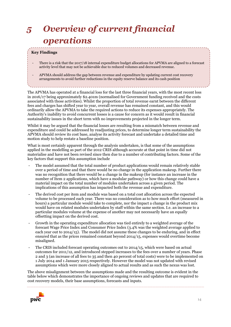## <span id="page-13-0"></span>*5 Overview of current financial operations*

#### **Key Findings**

- There is a risk that the 2017/18 internal expenditure budget allocations for APVMA are aligned to a forecast activity level that may not be achievable due to reduced volumes and decreased revenue.
- APVMA should address the gap between revenue and expenditure by updating current cost recovery arrangements to avoid further reductions in the equity reserve balance and its cash position

The APVMA has operated at a financial loss for the last three financial years, with the most recent loss in 2016/17 being approximately \$2.401m (normalised for Government funding received and the costs associated with those activities). Whilst the proportion of total revenue earnt between the different fees and charges has shifted year to year, overall revenue has remained constant, and this would ordinarily allow the APVMA to take the required actions to reduce its expenses appropriately. The Authority's inability to avoid concurrent losses is a cause for concern as it would result in financial sustainability issues in the short term with no improvements projected in the longer term.

Whilst it may be argued that the financial losses are resulting from a mismatch between revenue and expenditure and could be addressed by readjusting prices, to determine longer term sustainability the APVMA should review its cost base, analyse its activity forecast and undertake a detailed time and motion study to help restate a baseline position.

What is most certainly apparent through the analysis undertaken, is that some of the assumptions applied in the modelling as part of the 2012 CRIS although accurate at that point in time did not materialise and have not been revised since then due to a number of contributing factors. Some of the key factors that support this assumption include

- The model assumed that the total number of product applications would remain relatively stable over a period of time and that there would be no change in the application makeup. Further there was no recognition that there would be a change in the makeup (for instance an increase in the number of Item 2 applications, which have a modular pathway) or how this change could have a material impact on the total number of modules undertaken across a given period. The implications of this assumption has impacted both the revenue and expenditure.
- The derived cost per item and module was based on a total cost allocation across the expected volume to be processed each year. There was no consideration as to how much effort (measured in hours) a particular module would take to complete, nor the impact a change in the product mix would have on related modules undertaken by staff within the same section. I.e. an increase to a particular modules volume at the expense of another may not necessarily have an equally offsetting impact on the derived cost.
- Growth in the operating expenditure allocation was tied entirely to a weighted average of the forecast Wage Price Index and Consumer Price Index (3.4% was the weighted average applied to each year out to 2014/15). The model did not assume these changes to be enduring, and in effect ensured that as the prices remained constant beyond 2014/15, expenses would overtime become misaligned.
- The CRIS included forecast operating outcomes out to 2014/15, which were based on actual outcomes for 2011/12, and introduced stepped increases to the fees over a number of years. Phase 2 and 3 (an increase of all fees to 35 and then 40 percent of total costs) were to be implemented on 1 July 2014 and 1 January 2015 respectively. However the model was not updated with revised assumptions which were more closely aligned to actual results and as such the nexus was lost.

The above misalignment between the assumptions made and the resulting outcome is evident in the table below which demonstrates the importance of ongoing reviews and updates that are required to cost recovery models, their base assumptions, forecasts and inputs.

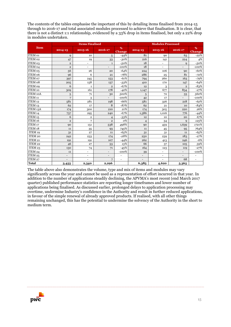The contents of the tables emphasise the important of this by detailing items finalised from 2014-15 through to 2016-17 and total associated modules processed to achieve that finalisation. It is clear, that there is not a distinct 1:1 relationship, evidenced by a 33% drop in items finalised, but only a 22% drop in modules undertaken.

|                    |                | <b>Items Finalised</b>   |                |             | <b>Modules Processed</b> |                          |                          |             |  |
|--------------------|----------------|--------------------------|----------------|-------------|--------------------------|--------------------------|--------------------------|-------------|--|
| <b>Item</b>        | $2014 - 15$    | 2015-16                  | 2016-17        | %<br>Change | $2014 - 15$              | 2015-16                  | 2016-17                  | %<br>Change |  |
| ITEM 01            | 9              | 10                       | 5              | $-44%$      | 81                       | 90                       | 63                       | $-22%$      |  |
| ITEM 02            | 47             | 19                       | 33             | $-30%$      | 216                      | 141                      | 224                      | 4%          |  |
| ITEM 03            | $\overline{2}$ | $\blacksquare$           | $\mathbf{1}$   | $-50%$      | 18                       | $\frac{1}{2}$            | 9                        | $-50%$      |  |
| ITEM 04            | $\mathbf{2}$   | $\overline{\phantom{a}}$ |                | -100% $\,$  | 18                       | $\overline{\phantom{a}}$ |                          | -100% $\,$  |  |
| ITEM 05            | 56             | 26                       | 20             | $-64%$      | 224                      | 106                      | 90                       | $-60%$      |  |
| ITEM 06            | 96             | 6                        | 21             | $-78%$      | 286                      | 25                       | 81                       | $-72%$      |  |
| ITEM 07            | 397            | 245                      | 153            | $-61%$      | 794                      | 260                      | 163                      | $-79%$      |  |
| ITEM 08            | 205            | 158                      | 137            | $-33%$      | 410                      | 170                      | 147                      | $-64%$      |  |
| <b>ITEM 09</b>     | 6              | 1                        | $\overline{2}$ | $-67%$      | 12                       | 3                        | $\overline{2}$           | $-83%$      |  |
| ITEM <sub>10</sub> | 309            | 161                      | 178            | $-42%$      | 1,147                    | 677                      | 834                      | $-27%$      |  |
| ITEM 10A           | 5              | 71                       | 30             | 500%        | 5                        | 72                       | 33                       | 560%        |  |
| ITEM <sub>11</sub> | 7              | 3                        |                | $-100\%$    | 42                       | 17                       |                          | $-100%$     |  |
| ITEM <sub>12</sub> | 581            | 281                      | 198            | $-66%$      | 581                      | 326                      | 218                      | $-62%$      |  |
| ITEM <sub>13</sub> | 62             | 17                       | 8              | $-87%$      | 62                       | 21                       | 10                       | $-84%$      |  |
| ITEM 13A           | 174            | 300                      | 210            | 21%         | 174                      | 305                      | 220                      | 26%         |  |
| ITEM 14            | 737            | 295                      | 240            | $-67%$      | 1,386                    | 1,016                    | 776                      | $-44%$      |  |
| ITEM <sub>15</sub> | 6              | $\overline{2}$           | $\overline{4}$ | $-33%$      | 12                       | 10                       | 20                       | 67%         |  |
| ITEM 16            | $\mathbf{2}$   | 7                        | $\overline{2}$ | 0%          | $\overline{4}$           | 34                       | 9                        | 125%        |  |
| ITEM <sub>17</sub> | 90             | 151                      | 538            | 498%        | 90                       | 459                      | 1,639                    | 1721%       |  |
| ITEM <sub>18</sub> | 11             | 35                       | 93             | 745%        | 11                       | 45                       | 95                       | 764%        |  |
| ITEM 19            | 31             | 27                       | 11             | $-65%$      | 31                       | 31                       | 11                       | $-65%$      |  |
| ITEM 20            | 242            | 233                      | 174            | $-28%$      | 250                      | 239                      | 183                      | $-27%$      |  |
| ITEM 21            | 191            | 191                      | 107            | $-44%$      | 262                      | 413                      | 246                      | $-6%$       |  |
| ITEM 22            | 46             | 27                       | 53             | 15%         | 66                       | 37                       | 105                      | 59%         |  |
| ITEM 23            | 130            | 74                       | 71             | $-45%$      | 164                      | 123                      | 119                      | $-27%$      |  |
| ITEM 24            | 11             | ٠                        |                | $-100%$     | 39                       | $\bar{a}$                | $\overline{\phantom{0}}$ | $-100%$     |  |
| ITEM 25            |                |                          |                |             |                          |                          |                          |             |  |
| ITEM 27            |                |                          |                |             |                          |                          | 68                       |             |  |
| <b>Total</b>       | 3,455          | 2,340                    | 2,296          |             | 6,385                    | 4,620                    | 5,365                    |             |  |

The table above also demonstrates the volume, type and mix of items and modules may vary significantly across the year and cannot be used as a representation of effort incurred in that year. In addition to the number of applications steadily declining, the APVMA's most recent (end March 2017 quarter) published performance statistics are reporting longer timeframes and lower number of applications being finalised. As discussed earlier, prolonged delays to application processing may overtime, undermine Industry's confidence in the Authority and result in further reduced applications, in favour of the simple renewal of already approved products. If realised, with all other things remaining unchanged, this has the potential to undermine the solvency of the Authority in the short to medium term.

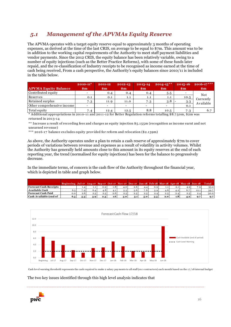### *5.1 Management of the APVMAs Equity Reserve*

The APVMA operates with a target equity reserve equal to approximately 3 months of operating expenses, as derived at the time of the last CRIS, on average to be equal to \$7m. This amount was to be in addition to the working capital requirements of the Authority to meet staff payment liabilities and vendor payments. Since the 2012 CRIS, the equity balance has been relatively variable, owing to a number of equity injections (such as the Better Practice Reforms), with some of these funds later repaid, and the re-classification of Industry receipts to be recognised as income earned at the time of in the table below.

| repaid, and the re-classification of Industry receipts to be recognised as income earned at the time of<br>cash being received, From a cash perspective, the Authority's equity balances since 2010/11 is included<br>in the table below.             |                                                                    |      |      |     |      |      |            |  |  |  |
|-------------------------------------------------------------------------------------------------------------------------------------------------------------------------------------------------------------------------------------------------------|--------------------------------------------------------------------|------|------|-----|------|------|------------|--|--|--|
| $2016 - 17***$<br>$2014 - 15***$<br>$2015 - 16$<br>$2010 - 11^*$<br>2013-14<br>2012-13<br>2011-12<br><b>APVMA Equity Balance</b><br>$\mathbf{m}$<br>$\mathbf{Sm}$<br>$\mathbf{m}$<br>$\mathbf{Sm}$<br>$\mathbf{Sm}$<br>$\mathbf{3m}$<br>$\mathbf{Sm}$ |                                                                    |      |      |     |      |      |            |  |  |  |
| Contributed equity                                                                                                                                                                                                                                    |                                                                    | 0.4  | 0.4  | 0.4 | 5.5  |      | <b>Not</b> |  |  |  |
| Reserves                                                                                                                                                                                                                                              | 0.1                                                                | 0.1  | 1.1  | 1.1 | 1.1  | 10.5 |            |  |  |  |
| Retained surplus                                                                                                                                                                                                                                      | Currently<br>3.8<br>11.9<br>7.3<br>11.0<br>7.3<br>3.3<br>Available |      |      |     |      |      |            |  |  |  |
| Other comprehensive income                                                                                                                                                                                                                            |                                                                    |      |      |     |      | 0.1  |            |  |  |  |
| Total equity                                                                                                                                                                                                                                          | 7.4                                                                | 12.4 | 12.5 | 8.8 | 10.5 | 7.3  | 6.7        |  |  |  |
| * Additional appropriations in 2010-11 and 2011-12 for Better Regulation reforms totalling \$8.750m, \$2m was                                                                                                                                         |                                                                    |      |      |     |      |      |            |  |  |  |

\* Additional appropriations in 2010-11 and 2011-12 for Better Regulation reforms totalling \$8.7 50m, \$2m was returned in 2013-14

\* Additional appropriations in 2010-11 and 2011-12 for Better Regulation reforms to<br>returned in 2013-14<br>\*\* Increase a result of recording fees and charges as equity injection \$5.155m (recog<br>unearned revenue)<br>\*\*\* 2016-17 ba \*\* Increase a result of recording fees and charges as equity injection \$5.155m (recognition as income earnt and not unearned revenue)

As above, the Authority operates under a plan to retain a cash reserve of approximately \$7m to cover periods of variations between revenue and expenses as a result of volatility in activity volumes. Whilst the Authority has generally held amounts close to this amount in its equity reserves at the end of each reporting year, the trend (normalised for equity injections) has been for the balance to progressively decrease.

| In the immediate terms, of concern is the cash flow of the Authority throughout the financial year,<br>which is depicted in table and graph below. |                                                                                               |         |     |     |     |     |     |     |     |     |                  |     |      |              |
|----------------------------------------------------------------------------------------------------------------------------------------------------|-----------------------------------------------------------------------------------------------|---------|-----|-----|-----|-----|-----|-----|-----|-----|------------------|-----|------|--------------|
|                                                                                                                                                    | Beginning Jul-17 Aug-17 Sep-17 Oct-17 Nov-17 Dec-17 Jan-18 Feb-18 Mar-18 Apr-18 May-18 Jun-18 |         |     |     |     |     |     |     |     |     |                  |     |      | <b>Total</b> |
| <b>Forecast Cash Receipts</b>                                                                                                                      |                                                                                               | 1.4     | 1.1 | 0.9 | 1.8 | 4.0 | 2.6 | 4.4 | 0.9 | 1.1 | 2.1              | 4.9 | 7.9  | 33.2         |
| Available Cash                                                                                                                                     | 6.5                                                                                           | 7.9     | 6.4 | 4.8 | 4.1 | 5.5 | 5.6 | 7.6 | 5.9 | 4.6 | 4.2              | 6.7 | 12.1 | 39.7         |
| <b>Forecast Cash Paid</b>                                                                                                                          | 0.0                                                                                           | 2.6     | 2.5 | 2.5 | 2.6 | 2.5 | 2.5 | 2.5 | 2.4 | 2.5 | 2.4              | 2.5 | 2.4  | 30.0         |
| Cash Available (end of                                                                                                                             | 6.5                                                                                           | $5 - 3$ | 3.9 | 2.3 | 1.6 | 3.0 |     | 5.0 | 3.5 | 2.0 | 1.8 <sub>1</sub> | 4.2 | 9.7  | 9.7          |



The two key issues identified through this high level analysis indicates that

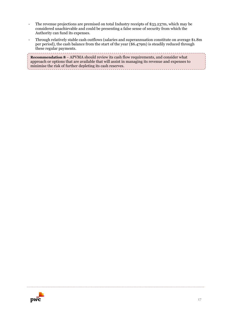- The revenue projections are premised on total Industry receipts of \$33.237m, which may be considered unachievable and could be presenting a false sense of security from which the Authority can fund its expenses.
- Through relatively stable cash outflows (salaries and superannuation constitute on average \$1.8m per period), the cash balance from the start of the year (\$6.479m) is steadily reduced through these regular payments.

**Recommendation 8** – APVMA should review its cash flow requirements, and consider what approach or options that are available that will assist in managing its revenue and expenses to minimise the risk of further depleting its cash reserves.

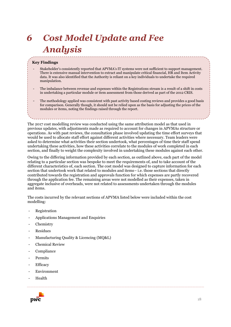# <span id="page-17-0"></span>*6 Cost Model Update and Fee Analysis*

#### **Key Findings**

- Stakeholder's consistently reported that APVMA's IT systems were not sufficient to support management. There is extensive manual intervention to extract and manipulate critical financial, HR and Item Activity data. It was also identified that the Authority is reliant on a key individuals to undertake the required manipulation.
- The imbalance between revenue and expenses within the Registrations stream is a result of a shift in costs in undertaking a particular module or item assessment from those derived as part of the 2012 CRIS.
- The methodology applied was consistent with past activity based costing reviews and provides a good basis for comparison. Generally though, it should not be relied upon as the basis for adjusting the prices of the modules or items, noting the findings raised through the report.

The 2017 cost modelling review was conducted using the same attribution model as that used in previous updates, with adjustments made as required to account for changes in APVMAs structure or operations. As with past reviews, the consultation phase involved updating the time effort surveys that would be used to allocate staff effort against different activities where necessary. Team leaders were asked to determine what activities their section undertook, what percentages of time their staff spend undertaking these activities, how these activities correlate to the modules of work completed in each section, and finally to weight the complexity involved in undertaking these modules against each other.

Owing to the differing information provided by each section, as outlined above, each part of the model relating to a particular section was bespoke to meet the requirements of, and to take account of the different characteristics of, each section. The cost model was designed to capture information for each section that undertook work that related to modules and items– i.e. those sections that directly contributed towards the registration and approvals function for which expenses are partly recovered through the application fee. The remaining areas were not modelled as their expenses, taken in aggregate inclusive of overheads, were not related to assessments undertaken through the modules and items.

The costs incurred by the relevant sections of APVMA listed below were included within the cost modelling:

- Registration
- Applications Management and Enquiries
- **Chemistry**
- **Residues**
- Manufacturing Quality & Licencing (MQ&L)
- Chemical Review
- **Compliance**
- **Permits**
- **Efficacy**
- Environment
- **Health**

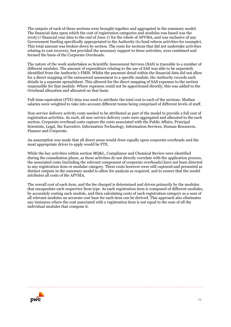The outputs of each of these sections were brought together and aggregated in the summary model. The financial data upon which the cost of registration categories and modules was based was the 2016/17 financial year data to the end of June 17 for the whole of APVMA, and was exclusive of any Government funding specifically appropriated to the Authority (to fund reform activities for example). This total amount was broken down by section. The costs for sections that did not undertake activities relating to cost recovery, but provided the necessary support to these activities, were combined and formed the basis of the Corporate Overheads.

The nature of the work undertaken as Scientific Assessment Services (SAS) is traceable to a number of different modules. The amount of expenditure relating to the use of SAS was able to be separately identified from the Authority's FMIS. Whilst the payment detail within the financial data did not allow for a direct mapping of the outsourced assessment to a specific module, the Authority records such details in a separate spreadsheet. This allowed for the direct mapping of SAS expenses to the section responsible for that module. Where expenses could not be apportioned directly, this was added to the Overhead allocation and allocated on that basis.

Full-time equivalent (FTE) data was used to attribute the total cost to each of the sections. Median salaries were weighted to take into account different teams being comprised of different levels of staff.

Non-service delivery activity costs needed to be attributed as part of the model to provide a full cost of registration activities. As such, all non-service delivery costs were aggregated and allocated to the each section. Corporate overhead costs capture the costs associated with the Public Affairs, Principal Scientists, Legal, the Executive, Information Technology, Information Services, Human Resources, Finance and Corporate.

An assumption was made that all direct areas would draw equally upon corporate overheads and the most appropriate driver to apply would be FTE.

While the key activities within section MQ&L, Compliance and Chemical Review were identified during the consultation phase, as these activities do not directly correlate with the application process, the associated costs (including the relevant component of corporate overheads) have not been directed to any registration item or modular category. These costs however were still captured and presented as distinct outputs in the summary model to allow for analysis as required, and to ensure that the model attributes all costs of the APVMA.

The overall cost of each item, and the fee charged is determined and driven primarily by the modules that encapsulate each respective Item type. As each registration item is composed of different modules, by accurately costing each module, and then calculating costs of each registration category as a sum of all relevant modules an accurate cost base for each item can be derived. This approach also eliminates any instances where the cost associated with a registration item is not equal to the sum of all the individual modules that compose it.